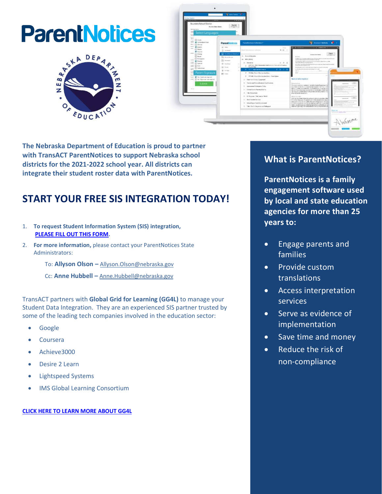# **ParentNotices**





**The Nebraska Department of Education is proud to partner with TransACT ParentNotices to support Nebraska school districts for the 2021-2022 school year. All districts can integrate their student roster data with ParentNotices.**

### **START YOUR FREE SIS INTEGRATION TODAY!**

- 1. **To request Student Information System (SIS) integration, [PLEASE FILL OUT THIS FORM.](https://share.hsforms.com/1t0vBpJaqQtex0M-3ggoWQA35wnh)**
- 2. **For more information,** please contact your ParentNotices State Administrators:
	- To: **Allyson Olson –** [Allyson.Olson@nebraska.gov](file:///C:/Users/omar/AppData/Local/Microsoft/Windows/INetCache/Content.Outlook/D04PFUNK/Allyson.Olson@nebraska.gov)
	- Cc: **Anne Hubbell –** [Anne.Hubbell@nebraska.gov](file:///C:/Users/omar/AppData/Local/Microsoft/Windows/INetCache/Content.Outlook/D04PFUNK/Anne.Hubbell@nebraska.gov)

TransACT partners with **Global Grid for Learning (GG4L)** to manage your Student Data Integration. They are an experienced SIS partner trusted by some of the leading tech companies involved in the education sector:

- Google
- Coursera
- Achieve3000
- Desire 2 Learn
- Lightspeed Systems
- IMS Global Learning Consortium

**[CLICK HERE TO LEARN MORE ABOUT GG4L](https://gg4l.com/solutions/gg4l-connect/)**

#### **What is ParentNotices?**

**ParentNotices is a family engagement software used by local and state education agencies for more than 25 years to:** 

- Engage parents and families
- Provide custom translations
- Access interpretation services
- Serve as evidence of implementation
- Save time and money
- Reduce the risk of non-compliance